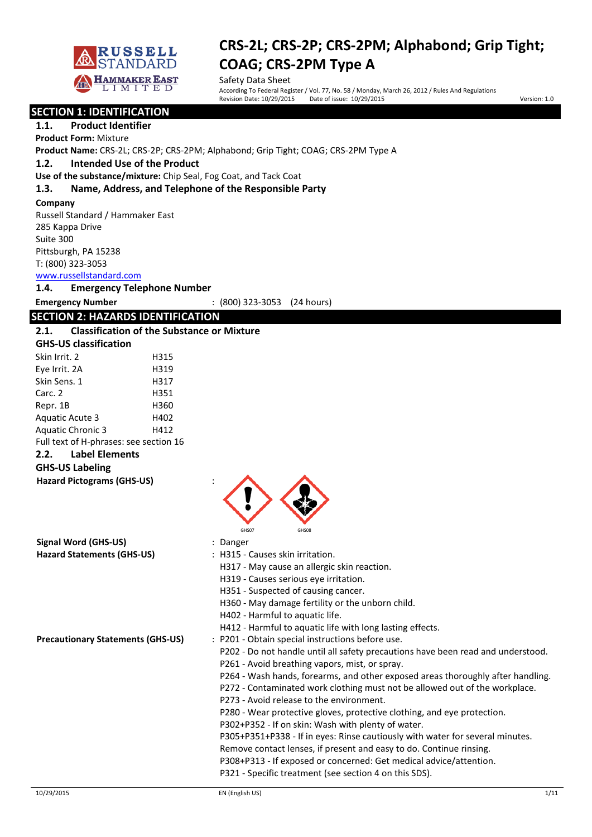

Safety Data Sheet<br>According To Federal Register / Vol. 77, No. 58 / Monday, March 26, 2012 / Rules And Regulations Revision Date: 10/29/2015 Date of issue: 10/29/2015 Version: 1.0

**SECTION 1: IDENTIFICATION 1.1. Product Identifier Product Form:** Mixture **Product Name:** CRS-2L; CRS-2P; CRS-2PM; Alphabond; Grip Tight; COAG; CRS-2PM Type A **1.2. Intended Use of the Product Use of the substance/mixture:** Chip Seal, Fog Coat, and Tack Coat **1.3. Name, Address, and Telephone of the Responsible Party Company**  Russell Standard / Hammaker East 285 Kappa Drive Suite 300 Pittsburgh, PA 15238 T: (800) 323-3053 www.russellstandard.com **1.4. Emergency Telephone Number Emergency Number** : (800) 323-3053 (24 hours) **SECTION 2: HAZARDS IDENTIFICATION 2.1. Classification of the Substance or Mixture GHS-US classification** Skin Irrit. 2 H315 Eve Irrit. 2A H319 Skin Sens. 1 H317 Carc. 2 H351 Repr. 1B H360 Aquatic Acute 3 H402 Aquatic Chronic 3 H412 Full text of H-phrases: see section 16 **2.2. Label Elements GHS-US Labeling Hazard Pictograms (GHS-US)** : GHS07 GHS08 **Signal Word (GHS-US)** : Danger **Hazard Statements (GHS-US)** : H315 - Causes skin irritation. H317 - May cause an allergic skin reaction. H319 - Causes serious eye irritation.

H351 - Suspected of causing cancer.

H360 - May damage fertility or the unborn child.

H412 - Harmful to aquatic life with long lasting effects.

H402 - Harmful to aquatic life.

**Precautionary Statements (GHS-US)** : P201 - Obtain special instructions before use.

- P202 Do not handle until all safety precautions have been read and understood.
- P261 Avoid breathing vapors, mist, or spray.
- P264 Wash hands, forearms, and other exposed areas thoroughly after handling.
- P272 Contaminated work clothing must not be allowed out of the workplace.
- P273 Avoid release to the environment.
- P280 Wear protective gloves, protective clothing, and eye protection.
- P302+P352 If on skin: Wash with plenty of water.
- P305+P351+P338 If in eyes: Rinse cautiously with water for several minutes.
- Remove contact lenses, if present and easy to do. Continue rinsing.
- P308+P313 If exposed or concerned: Get medical advice/attention.

P321 - Specific treatment (see section 4 on this SDS).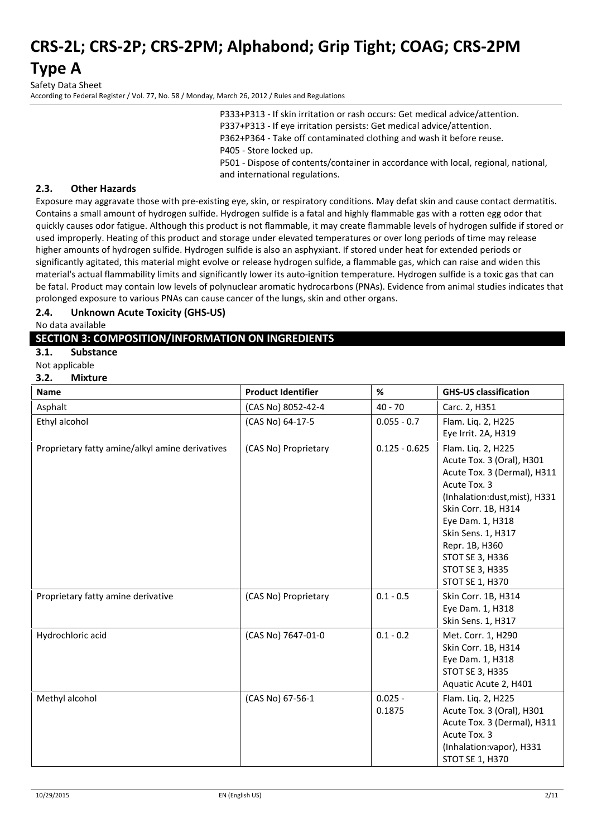**Type A**

Safety Data Sheet According to Federal Register / Vol. 77, No. 58 / Monday, March 26, 2012 / Rules and Regulations

> P333+P313 - If skin irritation or rash occurs: Get medical advice/attention. P337+P313 - If eye irritation persists: Get medical advice/attention. P362+P364 - Take off contaminated clothing and wash it before reuse. P405 - Store locked up. P501 - Dispose of contents/container in accordance with local, regional, national, and international regulations.

#### **2.3. Other Hazards**

Exposure may aggravate those with pre-existing eye, skin, or respiratory conditions. May defat skin and cause contact dermatitis. Contains a small amount of hydrogen sulfide. Hydrogen sulfide is a fatal and highly flammable gas with a rotten egg odor that quickly causes odor fatigue. Although this product is not flammable, it may create flammable levels of hydrogen sulfide if stored or used improperly. Heating of this product and storage under elevated temperatures or over long periods of time may release higher amounts of hydrogen sulfide. Hydrogen sulfide is also an asphyxiant. If stored under heat for extended periods or significantly agitated, this material might evolve or release hydrogen sulfide, a flammable gas, which can raise and widen this material's actual flammability limits and significantly lower its auto-ignition temperature. Hydrogen sulfide is a toxic gas that can be fatal. Product may contain low levels of polynuclear aromatic hydrocarbons (PNAs). Evidence from animal studies indicates that prolonged exposure to various PNAs can cause cancer of the lungs, skin and other organs.

#### **2.4. Unknown Acute Toxicity (GHS-US)**

No data available

#### **SECTION 3: COMPOSITION/INFORMATION ON INGREDIENTS**

#### **3.1. Substance**

#### Not applicable

#### **3.2. Mixture**

| Name                                            | <b>Product Identifier</b> | %                   | <b>GHS-US classification</b>                                                                                                                                                                                                                                                       |
|-------------------------------------------------|---------------------------|---------------------|------------------------------------------------------------------------------------------------------------------------------------------------------------------------------------------------------------------------------------------------------------------------------------|
| Asphalt                                         | (CAS No) 8052-42-4        | $40 - 70$           | Carc. 2, H351                                                                                                                                                                                                                                                                      |
| Ethyl alcohol                                   | (CAS No) 64-17-5          | $0.055 - 0.7$       | Flam. Liq. 2, H225<br>Eye Irrit. 2A, H319                                                                                                                                                                                                                                          |
| Proprietary fatty amine/alkyl amine derivatives | (CAS No) Proprietary      | $0.125 - 0.625$     | Flam. Liq. 2, H225<br>Acute Tox. 3 (Oral), H301<br>Acute Tox. 3 (Dermal), H311<br>Acute Tox. 3<br>(Inhalation:dust, mist), H331<br>Skin Corr. 1B, H314<br>Eye Dam. 1, H318<br>Skin Sens. 1, H317<br>Repr. 1B, H360<br>STOT SE 3, H336<br>STOT SE 3, H335<br><b>STOT SE 1, H370</b> |
| Proprietary fatty amine derivative              | (CAS No) Proprietary      | $0.1 - 0.5$         | Skin Corr. 1B, H314<br>Eye Dam. 1, H318<br>Skin Sens. 1, H317                                                                                                                                                                                                                      |
| Hydrochloric acid                               | (CAS No) 7647-01-0        | $0.1 - 0.2$         | Met. Corr. 1, H290<br>Skin Corr. 1B, H314<br>Eye Dam. 1, H318<br>STOT SE 3, H335<br>Aquatic Acute 2, H401                                                                                                                                                                          |
| Methyl alcohol                                  | (CAS No) 67-56-1          | $0.025 -$<br>0.1875 | Flam. Liq. 2, H225<br>Acute Tox. 3 (Oral), H301<br>Acute Tox. 3 (Dermal), H311<br>Acute Tox. 3<br>(Inhalation:vapor), H331<br><b>STOT SE 1, H370</b>                                                                                                                               |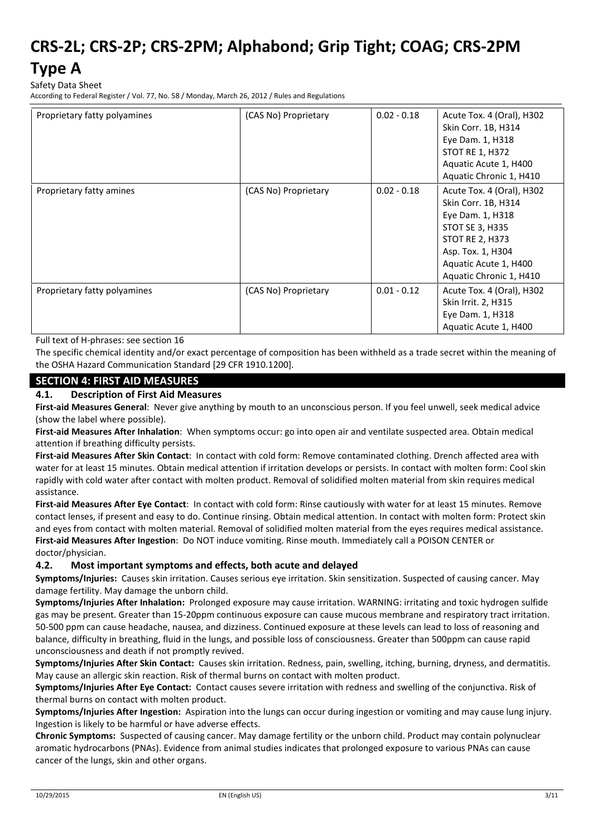### **Type A**

Safety Data Sheet

According to Federal Register / Vol. 77, No. 58 / Monday, March 26, 2012 / Rules and Regulations

| Proprietary fatty polyamines | (CAS No) Proprietary | $0.02 - 0.18$ | Acute Tox. 4 (Oral), H302<br>Skin Corr. 1B, H314<br>Eye Dam. 1, H318<br><b>STOT RE 1, H372</b><br>Aquatic Acute 1, H400<br>Aquatic Chronic 1, H410                                         |
|------------------------------|----------------------|---------------|--------------------------------------------------------------------------------------------------------------------------------------------------------------------------------------------|
| Proprietary fatty amines     | (CAS No) Proprietary | $0.02 - 0.18$ | Acute Tox. 4 (Oral), H302<br>Skin Corr. 1B, H314<br>Eye Dam. 1, H318<br>STOT SE 3, H335<br><b>STOT RE 2, H373</b><br>Asp. Tox. 1, H304<br>Aquatic Acute 1, H400<br>Aquatic Chronic 1, H410 |
| Proprietary fatty polyamines | (CAS No) Proprietary | $0.01 - 0.12$ | Acute Tox. 4 (Oral), H302<br>Skin Irrit. 2, H315<br>Eye Dam. 1, H318<br>Aquatic Acute 1, H400                                                                                              |

Full text of H-phrases: see section 16

The specific chemical identity and/or exact percentage of composition has been withheld as a trade secret within the meaning of the OSHA Hazard Communication Standard [29 CFR 1910.1200].

#### **SECTION 4: FIRST AID MEASURES**

#### **4.1. Description of First Aid Measures**

**First-aid Measures General**: Never give anything by mouth to an unconscious person. If you feel unwell, seek medical advice (show the label where possible).

**First-aid Measures After Inhalation**: When symptoms occur: go into open air and ventilate suspected area. Obtain medical attention if breathing difficulty persists.

**First-aid Measures After Skin Contact**: In contact with cold form: Remove contaminated clothing. Drench affected area with water for at least 15 minutes. Obtain medical attention if irritation develops or persists. In contact with molten form: Cool skin rapidly with cold water after contact with molten product. Removal of solidified molten material from skin requires medical assistance.

**First-aid Measures After Eye Contact**: In contact with cold form: Rinse cautiously with water for at least 15 minutes. Remove contact lenses, if present and easy to do. Continue rinsing. Obtain medical attention. In contact with molten form: Protect skin and eyes from contact with molten material. Removal of solidified molten material from the eyes requires medical assistance. **First-aid Measures After Ingestion**: Do NOT induce vomiting. Rinse mouth. Immediately call a POISON CENTER or doctor/physician.

#### **4.2. Most important symptoms and effects, both acute and delayed**

**Symptoms/Injuries:** Causes skin irritation. Causes serious eye irritation. Skin sensitization. Suspected of causing cancer. May damage fertility. May damage the unborn child.

**Symptoms/Injuries After Inhalation:** Prolonged exposure may cause irritation. WARNING: irritating and toxic hydrogen sulfide gas may be present. Greater than 15-20ppm continuous exposure can cause mucous membrane and respiratory tract irritation. 50-500 ppm can cause headache, nausea, and dizziness. Continued exposure at these levels can lead to loss of reasoning and balance, difficulty in breathing, fluid in the lungs, and possible loss of consciousness. Greater than 500ppm can cause rapid unconsciousness and death if not promptly revived.

**Symptoms/Injuries After Skin Contact:** Causes skin irritation. Redness, pain, swelling, itching, burning, dryness, and dermatitis. May cause an allergic skin reaction. Risk of thermal burns on contact with molten product.

**Symptoms/Injuries After Eye Contact:** Contact causes severe irritation with redness and swelling of the conjunctiva. Risk of thermal burns on contact with molten product.

**Symptoms/Injuries After Ingestion:** Aspiration into the lungs can occur during ingestion or vomiting and may cause lung injury. Ingestion is likely to be harmful or have adverse effects.

**Chronic Symptoms:** Suspected of causing cancer. May damage fertility or the unborn child. Product may contain polynuclear aromatic hydrocarbons (PNAs). Evidence from animal studies indicates that prolonged exposure to various PNAs can cause cancer of the lungs, skin and other organs.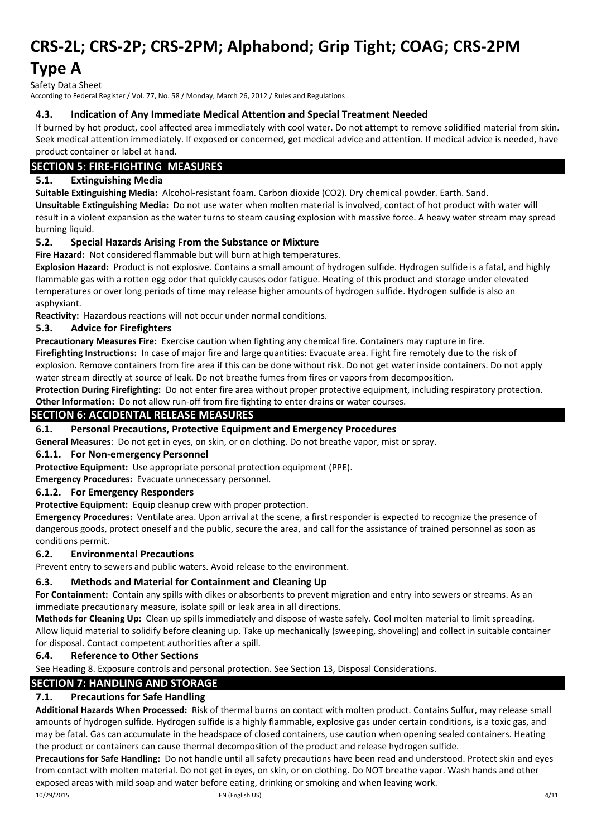### **Type A**

Safety Data Sheet

According to Federal Register / Vol. 77, No. 58 / Monday, March 26, 2012 / Rules and Regulations

#### **4.3. Indication of Any Immediate Medical Attention and Special Treatment Needed**

If burned by hot product, cool affected area immediately with cool water. Do not attempt to remove solidified material from skin. Seek medical attention immediately. If exposed or concerned, get medical advice and attention. If medical advice is needed, have product container or label at hand.

#### **SECTION 5: FIRE-FIGHTING MEASURES**

#### **5.1. Extinguishing Media**

**Suitable Extinguishing Media:** Alcohol-resistant foam. Carbon dioxide (CO2). Dry chemical powder. Earth. Sand.

**Unsuitable Extinguishing Media:** Do not use water when molten material is involved, contact of hot product with water will result in a violent expansion as the water turns to steam causing explosion with massive force. A heavy water stream may spread burning liquid.

#### **5.2. Special Hazards Arising From the Substance or Mixture**

**Fire Hazard:** Not considered flammable but will burn at high temperatures.

**Explosion Hazard:** Product is not explosive. Contains a small amount of hydrogen sulfide. Hydrogen sulfide is a fatal, and highly flammable gas with a rotten egg odor that quickly causes odor fatigue. Heating of this product and storage under elevated temperatures or over long periods of time may release higher amounts of hydrogen sulfide. Hydrogen sulfide is also an asphyxiant.

**Reactivity:** Hazardous reactions will not occur under normal conditions.

#### **5.3. Advice for Firefighters**

**Precautionary Measures Fire:** Exercise caution when fighting any chemical fire. Containers may rupture in fire.

**Firefighting Instructions:** In case of major fire and large quantities: Evacuate area. Fight fire remotely due to the risk of explosion. Remove containers from fire area if this can be done without risk. Do not get water inside containers. Do not apply water stream directly at source of leak. Do not breathe fumes from fires or vapors from decomposition.

**Protection During Firefighting:** Do not enter fire area without proper protective equipment, including respiratory protection. **Other Information:** Do not allow run-off from fire fighting to enter drains or water courses.

### **SECTION 6: ACCIDENTAL RELEASE MEASURES**

#### **6.1. Personal Precautions, Protective Equipment and Emergency Procedures**

**General Measures**: Do not get in eyes, on skin, or on clothing. Do not breathe vapor, mist or spray.

#### **6.1.1. For Non-emergency Personnel**

**Protective Equipment:** Use appropriate personal protection equipment (PPE).

**Emergency Procedures:** Evacuate unnecessary personnel.

#### **6.1.2. For Emergency Responders**

**Protective Equipment:** Equip cleanup crew with proper protection.

**Emergency Procedures:** Ventilate area. Upon arrival at the scene, a first responder is expected to recognize the presence of dangerous goods, protect oneself and the public, secure the area, and call for the assistance of trained personnel as soon as conditions permit.

#### **6.2. Environmental Precautions**

Prevent entry to sewers and public waters. Avoid release to the environment.

#### **6.3. Methods and Material for Containment and Cleaning Up**

**For Containment:** Contain any spills with dikes or absorbents to prevent migration and entry into sewers or streams. As an immediate precautionary measure, isolate spill or leak area in all directions.

**Methods for Cleaning Up:** Clean up spills immediately and dispose of waste safely. Cool molten material to limit spreading. Allow liquid material to solidify before cleaning up. Take up mechanically (sweeping, shoveling) and collect in suitable container for disposal. Contact competent authorities after a spill.

#### **6.4. Reference to Other Sections**

See Heading 8. Exposure controls and personal protection. See Section 13, Disposal Considerations.

### **SECTION 7: HANDLING AND STORAGE**

### **7.1. Precautions for Safe Handling**

**Additional Hazards When Processed:** Risk of thermal burns on contact with molten product. Contains Sulfur, may release small amounts of hydrogen sulfide. Hydrogen sulfide is a highly flammable, explosive gas under certain conditions, is a toxic gas, and may be fatal. Gas can accumulate in the headspace of closed containers, use caution when opening sealed containers. Heating the product or containers can cause thermal decomposition of the product and release hydrogen sulfide.

**Precautions for Safe Handling:** Do not handle until all safety precautions have been read and understood. Protect skin and eyes from contact with molten material. Do not get in eyes, on skin, or on clothing. Do NOT breathe vapor. Wash hands and other exposed areas with mild soap and water before eating, drinking or smoking and when leaving work.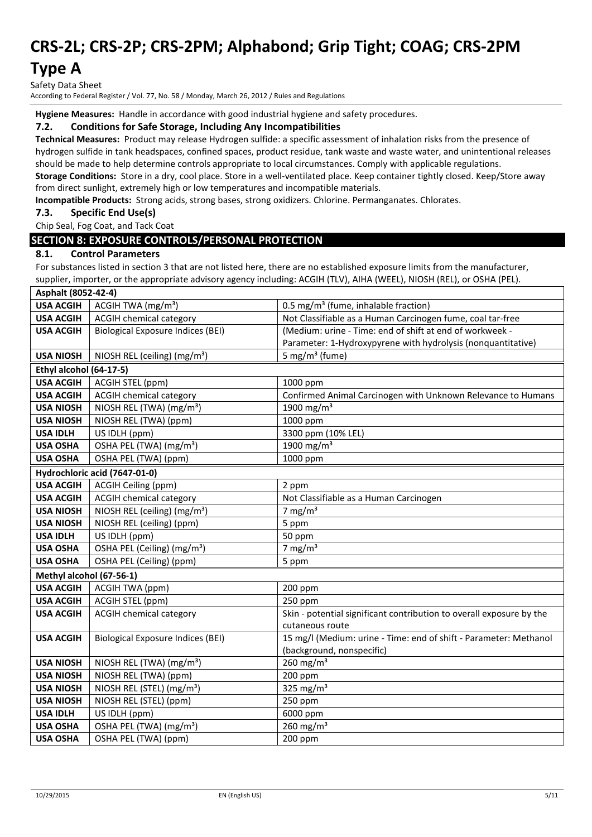### **Type A**

Safety Data Sheet

According to Federal Register / Vol. 77, No. 58 / Monday, March 26, 2012 / Rules and Regulations

**Hygiene Measures:** Handle in accordance with good industrial hygiene and safety procedures.

#### **7.2. Conditions for Safe Storage, Including Any Incompatibilities**

**Technical Measures:** Product may release Hydrogen sulfide: a specific assessment of inhalation risks from the presence of hydrogen sulfide in tank headspaces, confined spaces, product residue, tank waste and waste water, and unintentional releases should be made to help determine controls appropriate to local circumstances. Comply with applicable regulations. **Storage Conditions:** Store in a dry, cool place. Store in a well-ventilated place. Keep container tightly closed. Keep/Store away from direct sunlight, extremely high or low temperatures and incompatible materials.

**Incompatible Products:** Strong acids, strong bases, strong oxidizers. Chlorine. Permanganates. Chlorates.

**7.3. Specific End Use(s)**

Chip Seal, Fog Coat, and Tack Coat

#### **SECTION 8: EXPOSURE CONTROLS/PERSONAL PROTECTION**

#### **8.1. Control Parameters**

For substances listed in section 3 that are not listed here, there are no established exposure limits from the manufacturer, supplier, importer, or the appropriate advisory agency including: ACGIH (TLV), AIHA (WEEL), NIOSH (REL), or OSHA (PEL).

| Asphalt (8052-42-4)      |                                          |                                                                      |
|--------------------------|------------------------------------------|----------------------------------------------------------------------|
| <b>USA ACGIH</b>         | ACGIH TWA (mg/m <sup>3</sup> )           | 0.5 mg/m <sup>3</sup> (fume, inhalable fraction)                     |
| <b>USA ACGIH</b>         | <b>ACGIH chemical category</b>           | Not Classifiable as a Human Carcinogen fume, coal tar-free           |
| <b>USA ACGIH</b>         | <b>Biological Exposure Indices (BEI)</b> | (Medium: urine - Time: end of shift at end of workweek -             |
|                          |                                          | Parameter: 1-Hydroxypyrene with hydrolysis (nonquantitative)         |
| <b>USA NIOSH</b>         | NIOSH REL (ceiling) (mg/m <sup>3</sup> ) | 5 mg/m <sup>3</sup> (fume)                                           |
| Ethyl alcohol (64-17-5)  |                                          |                                                                      |
| <b>USA ACGIH</b>         | ACGIH STEL (ppm)                         | 1000 ppm                                                             |
| <b>USA ACGIH</b>         | <b>ACGIH chemical category</b>           | Confirmed Animal Carcinogen with Unknown Relevance to Humans         |
| <b>USA NIOSH</b>         | NIOSH REL (TWA) (mg/m <sup>3</sup> )     | 1900 mg/m <sup>3</sup>                                               |
| <b>USA NIOSH</b>         | NIOSH REL (TWA) (ppm)                    | 1000 ppm                                                             |
| <b>USA IDLH</b>          | US IDLH (ppm)                            | 3300 ppm (10% LEL)                                                   |
| <b>USA OSHA</b>          | OSHA PEL (TWA) (mg/m <sup>3</sup> )      | 1900 mg/m <sup>3</sup>                                               |
| <b>USA OSHA</b>          | OSHA PEL (TWA) (ppm)                     | 1000 ppm                                                             |
|                          | Hydrochloric acid (7647-01-0)            |                                                                      |
| <b>USA ACGIH</b>         | ACGIH Ceiling (ppm)                      | 2 ppm                                                                |
| <b>USA ACGIH</b>         | <b>ACGIH chemical category</b>           | Not Classifiable as a Human Carcinogen                               |
| <b>USA NIOSH</b>         | NIOSH REL (ceiling) (mg/m <sup>3</sup> ) | 7 mg/ $m3$                                                           |
| <b>USA NIOSH</b>         | NIOSH REL (ceiling) (ppm)                | 5 ppm                                                                |
| <b>USA IDLH</b>          | US IDLH (ppm)                            | 50 ppm                                                               |
| <b>USA OSHA</b>          | OSHA PEL (Ceiling) (mg/m <sup>3</sup> )  | 7 mg/ $m3$                                                           |
| <b>USA OSHA</b>          | OSHA PEL (Ceiling) (ppm)                 | 5 ppm                                                                |
| Methyl alcohol (67-56-1) |                                          |                                                                      |
| <b>USA ACGIH</b>         | <b>ACGIH TWA (ppm)</b>                   | 200 ppm                                                              |
| <b>USA ACGIH</b>         | ACGIH STEL (ppm)                         | 250 ppm                                                              |
| <b>USA ACGIH</b>         | <b>ACGIH chemical category</b>           | Skin - potential significant contribution to overall exposure by the |
|                          |                                          | cutaneous route                                                      |
| <b>USA ACGIH</b>         | <b>Biological Exposure Indices (BEI)</b> | 15 mg/l (Medium: urine - Time: end of shift - Parameter: Methanol    |
|                          |                                          | (background, nonspecific)                                            |
| <b>USA NIOSH</b>         | NIOSH REL (TWA) (mg/m <sup>3</sup> )     | $260$ mg/m <sup>3</sup>                                              |
| <b>USA NIOSH</b>         | NIOSH REL (TWA) (ppm)                    | 200 ppm                                                              |
| <b>USA NIOSH</b>         | NIOSH REL (STEL) (mg/m <sup>3</sup> )    | 325 mg/m $3$                                                         |
| <b>USA NIOSH</b>         | NIOSH REL (STEL) (ppm)                   | 250 ppm                                                              |
| <b>USA IDLH</b>          | US IDLH (ppm)                            | 6000 ppm                                                             |
| <b>USA OSHA</b>          | OSHA PEL (TWA) (mg/m <sup>3</sup> )      | $260$ mg/m <sup>3</sup>                                              |
| <b>USA OSHA</b>          | OSHA PEL (TWA) (ppm)                     | 200 ppm                                                              |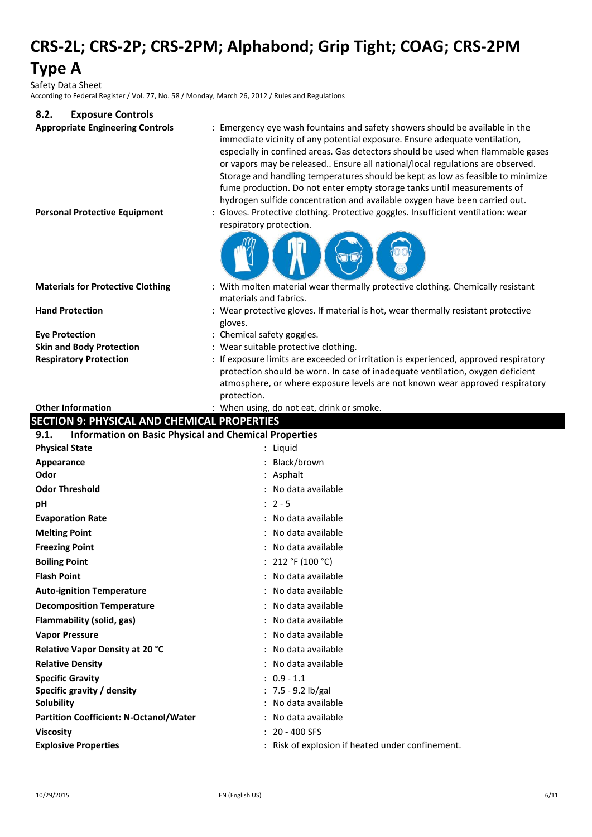**Type A**

Safety Data Sheet

According to Federal Register / Vol. 77, No. 58 / Monday, March 26, 2012 / Rules and Regulations

| 8.2.<br><b>Exposure Controls</b>                                     |                                                                                                                                                                                                                                                                                                                                                                                                                                                                                                                                                                            |
|----------------------------------------------------------------------|----------------------------------------------------------------------------------------------------------------------------------------------------------------------------------------------------------------------------------------------------------------------------------------------------------------------------------------------------------------------------------------------------------------------------------------------------------------------------------------------------------------------------------------------------------------------------|
| <b>Appropriate Engineering Controls</b>                              | : Emergency eye wash fountains and safety showers should be available in the<br>immediate vicinity of any potential exposure. Ensure adequate ventilation,<br>especially in confined areas. Gas detectors should be used when flammable gases<br>or vapors may be released Ensure all national/local regulations are observed.<br>Storage and handling temperatures should be kept as low as feasible to minimize<br>fume production. Do not enter empty storage tanks until measurements of<br>hydrogen sulfide concentration and available oxygen have been carried out. |
| <b>Personal Protective Equipment</b>                                 | Gloves. Protective clothing. Protective goggles. Insufficient ventilation: wear                                                                                                                                                                                                                                                                                                                                                                                                                                                                                            |
|                                                                      | respiratory protection.                                                                                                                                                                                                                                                                                                                                                                                                                                                                                                                                                    |
| <b>Materials for Protective Clothing</b>                             | : With molten material wear thermally protective clothing. Chemically resistant<br>materials and fabrics.                                                                                                                                                                                                                                                                                                                                                                                                                                                                  |
| <b>Hand Protection</b>                                               | : Wear protective gloves. If material is hot, wear thermally resistant protective                                                                                                                                                                                                                                                                                                                                                                                                                                                                                          |
|                                                                      | gloves.                                                                                                                                                                                                                                                                                                                                                                                                                                                                                                                                                                    |
| <b>Eye Protection</b>                                                | : Chemical safety goggles.                                                                                                                                                                                                                                                                                                                                                                                                                                                                                                                                                 |
| <b>Skin and Body Protection</b>                                      | : Wear suitable protective clothing.                                                                                                                                                                                                                                                                                                                                                                                                                                                                                                                                       |
| <b>Respiratory Protection</b>                                        | : If exposure limits are exceeded or irritation is experienced, approved respiratory                                                                                                                                                                                                                                                                                                                                                                                                                                                                                       |
|                                                                      | protection should be worn. In case of inadequate ventilation, oxygen deficient<br>atmosphere, or where exposure levels are not known wear approved respiratory<br>protection.                                                                                                                                                                                                                                                                                                                                                                                              |
| <b>Other Information</b>                                             | : When using, do not eat, drink or smoke.                                                                                                                                                                                                                                                                                                                                                                                                                                                                                                                                  |
| <b>SECTION 9: PHYSICAL AND CHEMICAL PROPERTIES</b>                   |                                                                                                                                                                                                                                                                                                                                                                                                                                                                                                                                                                            |
| <b>Information on Basic Physical and Chemical Properties</b><br>9.1. |                                                                                                                                                                                                                                                                                                                                                                                                                                                                                                                                                                            |
| <b>Physical State</b>                                                | : Liquid                                                                                                                                                                                                                                                                                                                                                                                                                                                                                                                                                                   |
| Appearance                                                           | Black/brown                                                                                                                                                                                                                                                                                                                                                                                                                                                                                                                                                                |
| Odor                                                                 | Asphalt                                                                                                                                                                                                                                                                                                                                                                                                                                                                                                                                                                    |
| <b>Odor Threshold</b>                                                | : No data available                                                                                                                                                                                                                                                                                                                                                                                                                                                                                                                                                        |
| рH                                                                   | $: 2 - 5$                                                                                                                                                                                                                                                                                                                                                                                                                                                                                                                                                                  |
| <b>Evaporation Rate</b>                                              | : No data available                                                                                                                                                                                                                                                                                                                                                                                                                                                                                                                                                        |
| <b>Melting Point</b>                                                 | No data available                                                                                                                                                                                                                                                                                                                                                                                                                                                                                                                                                          |
| <b>Freezing Point</b>                                                | : No data available                                                                                                                                                                                                                                                                                                                                                                                                                                                                                                                                                        |
| <b>Boiling Point</b>                                                 | : 212 °F (100 °C)                                                                                                                                                                                                                                                                                                                                                                                                                                                                                                                                                          |
| <b>Flash Point</b>                                                   | No data available                                                                                                                                                                                                                                                                                                                                                                                                                                                                                                                                                          |
| <b>Auto-ignition Temperature</b>                                     | No data available                                                                                                                                                                                                                                                                                                                                                                                                                                                                                                                                                          |
| <b>Decomposition Temperature</b>                                     | No data available                                                                                                                                                                                                                                                                                                                                                                                                                                                                                                                                                          |
| Flammability (solid, gas)                                            | No data available                                                                                                                                                                                                                                                                                                                                                                                                                                                                                                                                                          |
| <b>Vapor Pressure</b>                                                | No data available                                                                                                                                                                                                                                                                                                                                                                                                                                                                                                                                                          |
| Relative Vapor Density at 20 °C                                      | No data available                                                                                                                                                                                                                                                                                                                                                                                                                                                                                                                                                          |
| <b>Relative Density</b>                                              | No data available                                                                                                                                                                                                                                                                                                                                                                                                                                                                                                                                                          |
| <b>Specific Gravity</b>                                              | $: 0.9 - 1.1$                                                                                                                                                                                                                                                                                                                                                                                                                                                                                                                                                              |
| Specific gravity / density                                           | : $7.5 - 9.2$ lb/gal<br>No data available                                                                                                                                                                                                                                                                                                                                                                                                                                                                                                                                  |
| Solubility                                                           |                                                                                                                                                                                                                                                                                                                                                                                                                                                                                                                                                                            |
| <b>Partition Coefficient: N-Octanol/Water</b>                        |                                                                                                                                                                                                                                                                                                                                                                                                                                                                                                                                                                            |
|                                                                      | No data available                                                                                                                                                                                                                                                                                                                                                                                                                                                                                                                                                          |
| <b>Viscosity</b><br><b>Explosive Properties</b>                      | 20 - 400 SFS<br>: Risk of explosion if heated under confinement.                                                                                                                                                                                                                                                                                                                                                                                                                                                                                                           |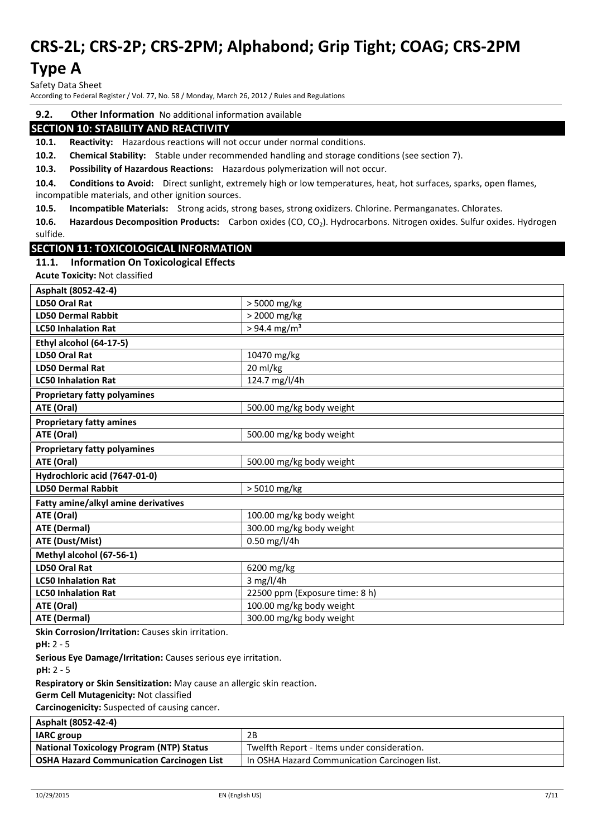### **Type A**

Safety Data Sheet

According to Federal Register / Vol. 77, No. 58 / Monday, March 26, 2012 / Rules and Regulations

#### **9.2. Other Information** No additional information available

#### **SECTION 10: STABILITY AND REACTIVITY**

**10.1. Reactivity:** Hazardous reactions will not occur under normal conditions.

**10.2. Chemical Stability:** Stable under recommended handling and storage conditions (see section 7).

**10.3. Possibility of Hazardous Reactions:** Hazardous polymerization will not occur.

**10.4. Conditions to Avoid:** Direct sunlight, extremely high or low temperatures, heat, hot surfaces, sparks, open flames, incompatible materials, and other ignition sources.

**10.5. Incompatible Materials:** Strong acids, strong bases, strong oxidizers. Chlorine. Permanganates. Chlorates.

**10.6. Hazardous Decomposition Products:** Carbon oxides (CO, CO2). Hydrocarbons. Nitrogen oxides. Sulfur oxides. Hydrogen sulfide.

#### **SECTION 11: TOXICOLOGICAL INFORMATION**

#### **11.1. Information On Toxicological Effects**

**Acute Toxicity:** Not classified **Asphalt (8052-42-4) LD50 Oral Rat** > 5000 mg/kg **LD50 Dermal Rabbit**  $\vert$  > 2000 mg/kg **LC50 Inhalation Rat**  $\vert$  > 94.4 mg/m<sup>3</sup> **Ethyl alcohol (64-17-5) LD50 Oral Rat**  $\left| \begin{array}{c} 10470 \text{ mg/kg} \end{array} \right|$ **LD50 Dermal Rat** 20 ml/kg **LC50 Inhalation Rat** 124.7 mg/l/4h **Proprietary fatty polyamines ATE (Oral)** 500.00 mg/kg body weight **Proprietary fatty amines ATE (Oral)** 500.00 mg/kg body weight **Proprietary fatty polyamines ATE (Oral)** 500.00 mg/kg body weight **Hydrochloric acid (7647-01-0) LD50 Dermal Rabbit**  $\vert$  > 5010 mg/kg **Fatty amine/alkyl amine derivatives ATE (Oral) ATE (Oral) ATE** (Oral) **ATE (Dermal)** 300.00 mg/kg body weight **ATE (Dust/Mist)** 0.50 mg/l/4h **Methyl alcohol (67-56-1) LD50 Oral Rat** 6200 mg/kg **LC50 Inhalation Rat**  $\begin{array}{|c|c|c|c|} \hline 3 m g/l/4h \hline \end{array}$ **LC50 Inhalation Rat** 22500 ppm (Exposure time: 8 h) **ATE (Oral) ATE (Oral) ATE** (Oral) **ATE (Dermal)** 300.00 mg/kg body weight

**Skin Corrosion/Irritation:** Causes skin irritation.

**Serious Eye Damage/Irritation:** Causes serious eye irritation.

**pH:** 2 - 5

**Respiratory or Skin Sensitization:** May cause an allergic skin reaction.

**Germ Cell Mutagenicity:** Not classified

**Carcinogenicity:** Suspected of causing cancer.

|  | Asphalt (8052-42-4) |  |
|--|---------------------|--|
|--|---------------------|--|

| <b>IARC</b> group                                | 2B                                              |
|--------------------------------------------------|-------------------------------------------------|
| <b>National Toxicology Program (NTP) Status</b>  | Twelfth Report - Items under consideration.     |
| <b>OSHA Hazard Communication Carcinogen List</b> | I In OSHA Hazard Communication Carcinogen list. |

**pH:** 2 - 5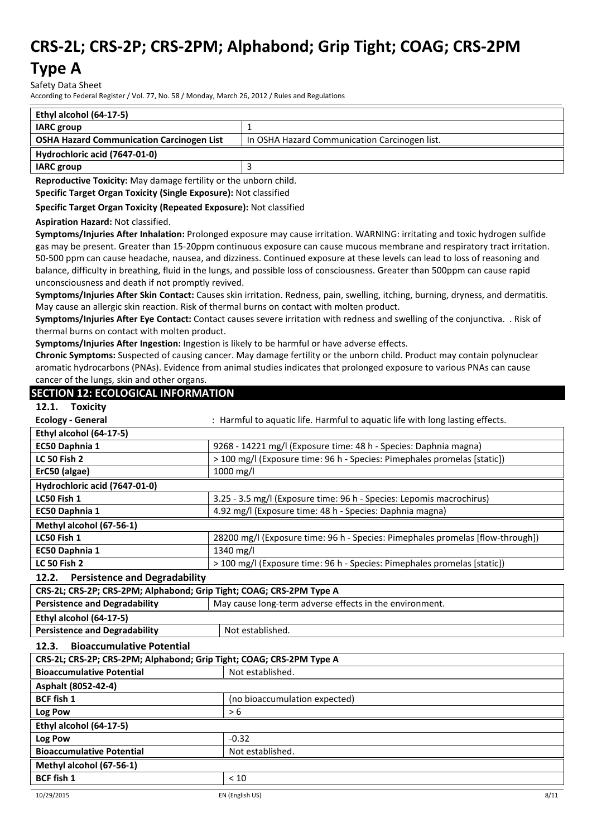### **Type A**

Safety Data Sheet

According to Federal Register / Vol. 77, No. 58 / Monday, March 26, 2012 / Rules and Regulations

| Ethyl alcohol (64-17-5)                          |                                               |  |
|--------------------------------------------------|-----------------------------------------------|--|
| <b>IARC</b> group                                |                                               |  |
| <b>OSHA Hazard Communication Carcinogen List</b> | In OSHA Hazard Communication Carcinogen list. |  |
| Hydrochloric acid (7647-01-0)                    |                                               |  |
| <b>IARC</b> group                                |                                               |  |

**Reproductive Toxicity:** May damage fertility or the unborn child.

**Specific Target Organ Toxicity (Single Exposure):** Not classified

**Specific Target Organ Toxicity (Repeated Exposure):** Not classified

**Aspiration Hazard:** Not classified.

**Symptoms/Injuries After Inhalation:** Prolonged exposure may cause irritation. WARNING: irritating and toxic hydrogen sulfide gas may be present. Greater than 15-20ppm continuous exposure can cause mucous membrane and respiratory tract irritation. 50-500 ppm can cause headache, nausea, and dizziness. Continued exposure at these levels can lead to loss of reasoning and balance, difficulty in breathing, fluid in the lungs, and possible loss of consciousness. Greater than 500ppm can cause rapid unconsciousness and death if not promptly revived.

**Symptoms/Injuries After Skin Contact:** Causes skin irritation. Redness, pain, swelling, itching, burning, dryness, and dermatitis. May cause an allergic skin reaction. Risk of thermal burns on contact with molten product.

**Symptoms/Injuries After Eye Contact:** Contact causes severe irritation with redness and swelling of the conjunctiva. . Risk of thermal burns on contact with molten product.

**Symptoms/Injuries After Ingestion:** Ingestion is likely to be harmful or have adverse effects.

**Chronic Symptoms:** Suspected of causing cancer. May damage fertility or the unborn child. Product may contain polynuclear aromatic hydrocarbons (PNAs). Evidence from animal studies indicates that prolonged exposure to various PNAs can cause cancer of the lungs, skin and other organs.

#### **SECTION 12: ECOLOGICAL INFORMATION**

| 12.1.<br><b>Toxicity</b>                                             |                                                                                |  |
|----------------------------------------------------------------------|--------------------------------------------------------------------------------|--|
| <b>Ecology - General</b>                                             | : Harmful to aquatic life. Harmful to aquatic life with long lasting effects.  |  |
| Ethyl alcohol (64-17-5)                                              |                                                                                |  |
| EC50 Daphnia 1                                                       | 9268 - 14221 mg/l (Exposure time: 48 h - Species: Daphnia magna)               |  |
| <b>LC 50 Fish 2</b>                                                  | > 100 mg/l (Exposure time: 96 h - Species: Pimephales promelas [static])       |  |
| ErC50 (algae)                                                        | 1000 mg/l                                                                      |  |
| Hydrochloric acid (7647-01-0)                                        |                                                                                |  |
| LC50 Fish 1                                                          | 3.25 - 3.5 mg/l (Exposure time: 96 h - Species: Lepomis macrochirus)           |  |
| EC50 Daphnia 1                                                       | 4.92 mg/l (Exposure time: 48 h - Species: Daphnia magna)                       |  |
| Methyl alcohol (67-56-1)                                             |                                                                                |  |
| LC50 Fish 1                                                          | 28200 mg/l (Exposure time: 96 h - Species: Pimephales promelas [flow-through]) |  |
| EC50 Daphnia 1                                                       | 1340 mg/l                                                                      |  |
| <b>LC 50 Fish 2</b>                                                  | > 100 mg/l (Exposure time: 96 h - Species: Pimephales promelas [static])       |  |
| <b>Persistence and Degradability</b><br>12.2.                        |                                                                                |  |
| CRS-2L; CRS-2P; CRS-2PM; Alphabond; Grip Tight; COAG; CRS-2PM Type A |                                                                                |  |
| <b>Persistence and Degradability</b>                                 | May cause long-term adverse effects in the environment.                        |  |
| Ethyl alcohol (64-17-5)                                              |                                                                                |  |
| <b>Persistence and Degradability</b>                                 | Not established.                                                               |  |
| <b>Bioaccumulative Potential</b><br>12.3.                            |                                                                                |  |
| CDC 31, CDC 3D, CDC 3DM, Alphaband, Crin Tight, COAC, CDC 3DM Tung A |                                                                                |  |

| CRS-2L; CRS-2P; CRS-2PM; Alphabond; Grip Tight; COAG; CRS-2PM Type A |                               |  |
|----------------------------------------------------------------------|-------------------------------|--|
| <b>Bioaccumulative Potential</b>                                     | Not established.              |  |
| Asphalt (8052-42-4)                                                  |                               |  |
| <b>BCF fish 1</b>                                                    | (no bioaccumulation expected) |  |
| Log Pow                                                              | > 6                           |  |
| Ethyl alcohol (64-17-5)                                              |                               |  |
| Log Pow                                                              | $-0.32$                       |  |
| <b>Bioaccumulative Potential</b>                                     | Not established.              |  |
| Methyl alcohol (67-56-1)                                             |                               |  |
| <b>BCF fish 1</b>                                                    | < 10                          |  |
| 10/29/2015                                                           | 8/11<br>EN (English US)       |  |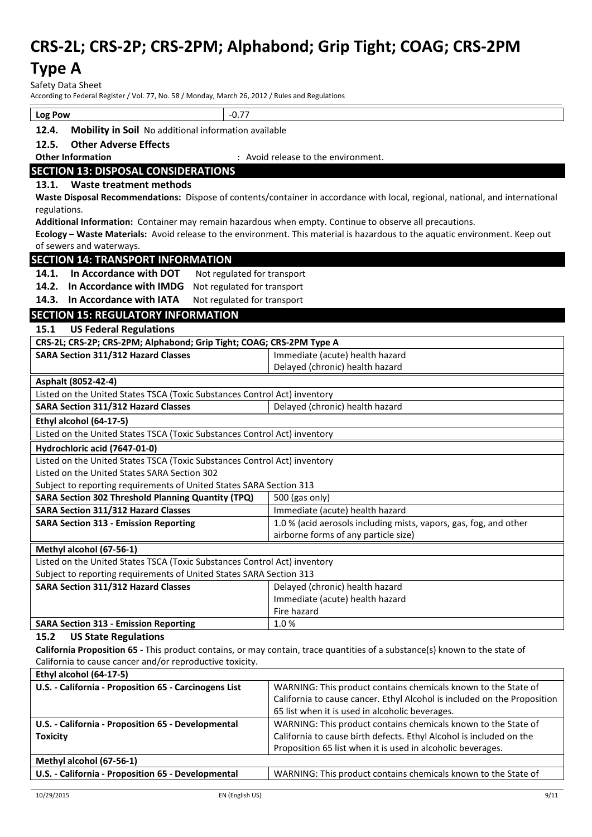### **Type A**

Safety Data Sheet<br>According to Eederal B

.<br>Inding to Federal Register / Vol. 77, No. 58 / Monday, March 26, 2012 / Rules and Regulations

| According to rederar negister $\gamma$ voi. $\gamma$ , no. 50 $\gamma$ ivioriday, ividicir zo, zolz $\gamma$ nues and negulation. |                                                                                                                                            |  |  |
|-----------------------------------------------------------------------------------------------------------------------------------|--------------------------------------------------------------------------------------------------------------------------------------------|--|--|
| Log Pow                                                                                                                           | $-0.77$                                                                                                                                    |  |  |
| 12.4.                                                                                                                             | Mobility in Soil No additional information available                                                                                       |  |  |
| 12.5.                                                                                                                             | <b>Other Adverse Effects</b>                                                                                                               |  |  |
| <b>Other Information</b>                                                                                                          | : Avoid release to the environment.                                                                                                        |  |  |
| <b>SECTION 13: DISPOSAL CONSIDERATIONS</b>                                                                                        |                                                                                                                                            |  |  |
| 13.1. Waste treatment methods                                                                                                     |                                                                                                                                            |  |  |
|                                                                                                                                   | Waste Disposal Recommendations: Dispose of contents/container in accordance with local, regional, national, and international              |  |  |
| regulations.                                                                                                                      |                                                                                                                                            |  |  |
|                                                                                                                                   | Additional Information: Container may remain hazardous when empty. Continue to observe all precautions.                                    |  |  |
| of sewers and waterways.                                                                                                          | Ecology - Waste Materials: Avoid release to the environment. This material is hazardous to the aquatic environment. Keep out               |  |  |
| <b>SECTION 14: TRANSPORT INFORMATION</b>                                                                                          |                                                                                                                                            |  |  |
| 14.1. In Accordance with DOT                                                                                                      |                                                                                                                                            |  |  |
| 14.2. In Accordance with IMDG                                                                                                     | Not regulated for transport                                                                                                                |  |  |
| 14.3. In Accordance with IATA                                                                                                     | Not regulated for transport                                                                                                                |  |  |
|                                                                                                                                   | Not regulated for transport                                                                                                                |  |  |
| <b>SECTION 15: REGULATORY INFORMATION</b>                                                                                         |                                                                                                                                            |  |  |
| <b>US Federal Regulations</b><br>15.1                                                                                             |                                                                                                                                            |  |  |
| CRS-2L; CRS-2P; CRS-2PM; Alphabond; Grip Tight; COAG; CRS-2PM Type A                                                              |                                                                                                                                            |  |  |
| SARA Section 311/312 Hazard Classes                                                                                               | Immediate (acute) health hazard<br>Delayed (chronic) health hazard                                                                         |  |  |
|                                                                                                                                   |                                                                                                                                            |  |  |
| Asphalt (8052-42-4)<br>Listed on the United States TSCA (Toxic Substances Control Act) inventory                                  |                                                                                                                                            |  |  |
| <b>SARA Section 311/312 Hazard Classes</b>                                                                                        | Delayed (chronic) health hazard                                                                                                            |  |  |
|                                                                                                                                   |                                                                                                                                            |  |  |
| Ethyl alcohol (64-17-5)                                                                                                           |                                                                                                                                            |  |  |
| Listed on the United States TSCA (Toxic Substances Control Act) inventory                                                         |                                                                                                                                            |  |  |
| Hydrochloric acid (7647-01-0)                                                                                                     |                                                                                                                                            |  |  |
| Listed on the United States TSCA (Toxic Substances Control Act) inventory<br>Listed on the United States SARA Section 302         |                                                                                                                                            |  |  |
| Subject to reporting requirements of United States SARA Section 313                                                               |                                                                                                                                            |  |  |
| <b>SARA Section 302 Threshold Planning Quantity (TPQ)</b>                                                                         | 500 (gas only)                                                                                                                             |  |  |
| <b>SARA Section 311/312 Hazard Classes</b>                                                                                        | Immediate (acute) health hazard                                                                                                            |  |  |
| <b>SARA Section 313 - Emission Reporting</b>                                                                                      | 1.0 % (acid aerosols including mists, vapors, gas, fog, and other                                                                          |  |  |
|                                                                                                                                   | airborne forms of any particle size)                                                                                                       |  |  |
| Methyl alcohol (67-56-1)                                                                                                          |                                                                                                                                            |  |  |
| Listed on the United States TSCA (Toxic Substances Control Act) inventory                                                         |                                                                                                                                            |  |  |
| Subject to reporting requirements of United States SARA Section 313                                                               |                                                                                                                                            |  |  |
| SARA Section 311/312 Hazard Classes                                                                                               | Delayed (chronic) health hazard                                                                                                            |  |  |
|                                                                                                                                   | Immediate (acute) health hazard                                                                                                            |  |  |
|                                                                                                                                   | Fire hazard                                                                                                                                |  |  |
| <b>SARA Section 313 - Emission Reporting</b>                                                                                      | 1.0%                                                                                                                                       |  |  |
| <b>US State Regulations</b><br>15.2                                                                                               |                                                                                                                                            |  |  |
|                                                                                                                                   | California Proposition 65 - This product contains, or may contain, trace quantities of a substance(s) known to the state of                |  |  |
| California to cause cancer and/or reproductive toxicity.                                                                          |                                                                                                                                            |  |  |
| Ethyl alcohol (64-17-5)                                                                                                           |                                                                                                                                            |  |  |
| U.S. - California - Proposition 65 - Carcinogens List                                                                             | WARNING: This product contains chemicals known to the State of<br>California to cause cancer. Ethyl Alcohol is included on the Proposition |  |  |
|                                                                                                                                   | 65 list when it is used in alcoholic beverages.                                                                                            |  |  |
| U.S. - California - Proposition 65 - Developmental                                                                                | WARNING: This product contains chemicals known to the State of                                                                             |  |  |
| <b>Toxicity</b>                                                                                                                   | California to cause birth defects. Ethyl Alcohol is included on the                                                                        |  |  |
|                                                                                                                                   | Proposition 65 list when it is used in alcoholic beverages.                                                                                |  |  |
| Methyl alcohol (67-56-1)                                                                                                          |                                                                                                                                            |  |  |
| U.S. - California - Proposition 65 - Developmental                                                                                | WARNING: This product contains chemicals known to the State of                                                                             |  |  |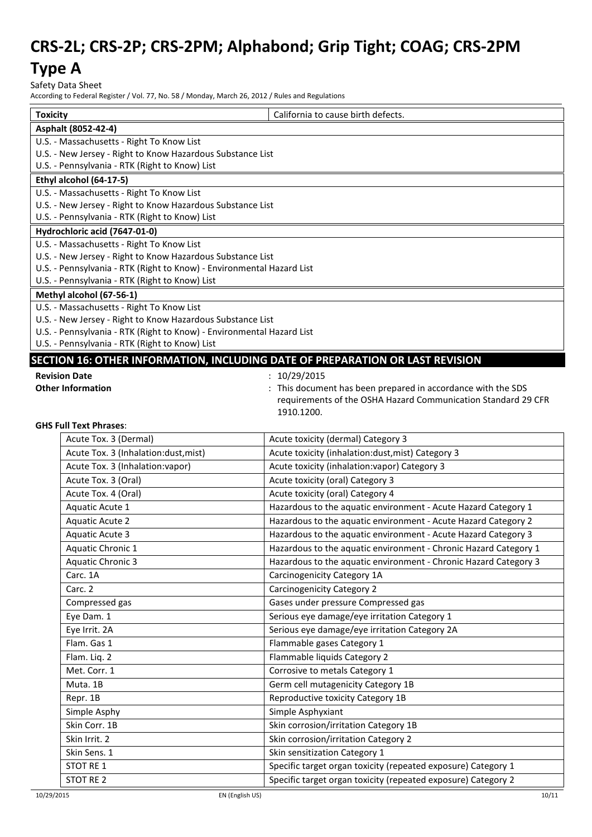### **Type A**

Safety Data Sheet

According to Federal Register / Vol. 77, No. 58 / Monday, March 26, 2012 / Rules and Regulations

| <b>Toxicity</b> |                                                                       | California to cause birth defects.                                            |
|-----------------|-----------------------------------------------------------------------|-------------------------------------------------------------------------------|
|                 | Asphalt (8052-42-4)                                                   |                                                                               |
|                 | U.S. - Massachusetts - Right To Know List                             |                                                                               |
|                 | U.S. - New Jersey - Right to Know Hazardous Substance List            |                                                                               |
|                 | U.S. - Pennsylvania - RTK (Right to Know) List                        |                                                                               |
|                 | Ethyl alcohol (64-17-5)                                               |                                                                               |
|                 | U.S. - Massachusetts - Right To Know List                             |                                                                               |
|                 | U.S. - New Jersey - Right to Know Hazardous Substance List            |                                                                               |
|                 | U.S. - Pennsylvania - RTK (Right to Know) List                        |                                                                               |
|                 | Hydrochloric acid (7647-01-0)                                         |                                                                               |
|                 | U.S. - Massachusetts - Right To Know List                             |                                                                               |
|                 | U.S. - New Jersey - Right to Know Hazardous Substance List            |                                                                               |
|                 | U.S. - Pennsylvania - RTK (Right to Know) - Environmental Hazard List |                                                                               |
|                 | U.S. - Pennsylvania - RTK (Right to Know) List                        |                                                                               |
|                 | Methyl alcohol (67-56-1)                                              |                                                                               |
|                 | U.S. - Massachusetts - Right To Know List                             |                                                                               |
|                 | U.S. - New Jersey - Right to Know Hazardous Substance List            |                                                                               |
|                 | U.S. - Pennsylvania - RTK (Right to Know) - Environmental Hazard List |                                                                               |
|                 | U.S. - Pennsylvania - RTK (Right to Know) List                        |                                                                               |
|                 |                                                                       | SECTION 16: OTHER INFORMATION, INCLUDING DATE OF PREPARATION OR LAST REVISION |
|                 | <b>Revision Date</b>                                                  | 10/29/2015                                                                    |
|                 | <b>Other Information</b>                                              | : This document has been prepared in accordance with the SDS                  |
|                 |                                                                       | requirements of the OSHA Hazard Communication Standard 29 CFR                 |
|                 |                                                                       | 1910.1200.                                                                    |
|                 | <b>GHS Full Text Phrases:</b>                                         |                                                                               |
|                 | Acute Tox. 3 (Dermal)                                                 | Acute toxicity (dermal) Category 3                                            |
|                 | Acute Tox. 3 (Inhalation:dust, mist)                                  | Acute toxicity (inhalation:dust, mist) Category 3                             |
|                 | Acute Tox. 3 (Inhalation: vapor)                                      | Acute toxicity (inhalation:vapor) Category 3                                  |
|                 | Acute Tox. 3 (Oral)                                                   | Acute toxicity (oral) Category 3                                              |
|                 | Acute Tox. 4 (Oral)                                                   | Acute toxicity (oral) Category 4                                              |

Aquatic Acute 1 hazardous to the aquatic environment - Acute Hazard Category 1 Aquatic Acute 2 **Hazardous to the aquatic environment - Acute Hazard Category 2** Hazardous to the aquatic environment - Acute Hazard Category 2 Aquatic Acute 3 **Hazardous to the aquatic environment - Acute Hazard Category 3** Aquatic Chronic 1 **Hazardous to the aquatic environment - Chronic Hazard Category 1** Aquatic Chronic 3 **Hazardous to the aquatic environment - Chronic Hazard Category 3** 

|            | Eye Irrit. 2A    | Serious eye damage/eye irritation Category 2A                 |       |
|------------|------------------|---------------------------------------------------------------|-------|
|            | Flam. Gas 1      | Flammable gases Category 1                                    |       |
|            | Flam. Liq. 2     | Flammable liquids Category 2                                  |       |
|            | Met. Corr. 1     | Corrosive to metals Category 1                                |       |
|            | Muta, 1B         | Germ cell mutagenicity Category 1B                            |       |
|            | Repr. 1B         | Reproductive toxicity Category 1B                             |       |
|            | Simple Asphy     | Simple Asphyxiant                                             |       |
|            | Skin Corr. 1B    | Skin corrosion/irritation Category 1B                         |       |
|            | Skin Irrit. 2    | Skin corrosion/irritation Category 2                          |       |
|            | Skin Sens. 1     | Skin sensitization Category 1                                 |       |
|            | <b>STOT RE 1</b> | Specific target organ toxicity (repeated exposure) Category 1 |       |
|            | STOT RE 2        | Specific target organ toxicity (repeated exposure) Category 2 |       |
| 10/29/2015 |                  | EN (English US)                                               | 10/11 |
|            |                  |                                                               |       |

Carc. 1A Carcinogenicity Category 1A Carc. 2 Carcinogenicity Category 2

Compressed gas **Compressed gas** Gases under pressure Compressed gas Eye Dam. 1 Serious eye damage/eye irritation Category 1